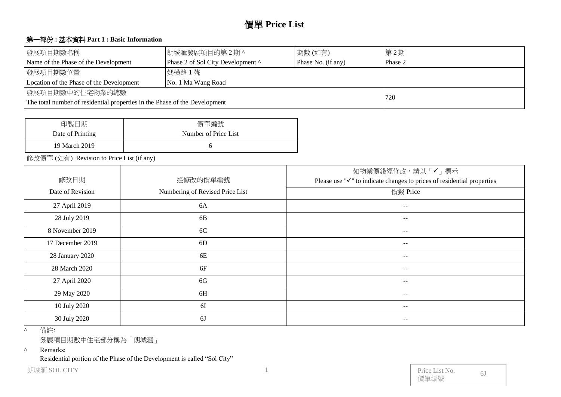# 價單 **Price List**

#### 第一部份 **:** 基本資料 **Part 1 : Basic Information**

| 發展項目期數名稱                                                                   | 朗城滙發展項目的第2期^                      | 第2期     |  |  |  |  |  |  |  |
|----------------------------------------------------------------------------|-----------------------------------|---------|--|--|--|--|--|--|--|
| Name of the Phase of the Development                                       | Phase 2 of Sol City Development ^ | Phase 2 |  |  |  |  |  |  |  |
| 發展項目期數位置                                                                   | 媽橫路1號                             |         |  |  |  |  |  |  |  |
| Location of the Phase of the Development                                   | No. 1 Ma Wang Road                |         |  |  |  |  |  |  |  |
| 發展項目期數中的住宅物業的總數                                                            |                                   |         |  |  |  |  |  |  |  |
| The total number of residential properties in the Phase of the Development | 720                               |         |  |  |  |  |  |  |  |

| 印製日期             | 價單編號                 |
|------------------|----------------------|
| Date of Printing | Number of Price List |
| 19 March 2019    |                      |

修改價單 (如有) Revision to Price List (if any)

|                  |                                 | 如物業價錢經修改,請以「✔」標示                                                                    |
|------------------|---------------------------------|-------------------------------------------------------------------------------------|
| 修改日期             | 經修改的價單編號                        | Please use " $\checkmark$ " to indicate changes to prices of residential properties |
| Date of Revision | Numbering of Revised Price List | 價錢 Price                                                                            |
| 27 April 2019    | 6A                              | $-$                                                                                 |
| 28 July 2019     | 6B                              | $\overline{\phantom{m}}$                                                            |
| 8 November 2019  | 6C                              | --                                                                                  |
| 17 December 2019 | 6D                              | $- -$                                                                               |
| 28 January 2020  | 6E                              | $\overline{\phantom{m}}$                                                            |
| 28 March 2020    | 6F                              | $- -$                                                                               |
| 27 April 2020    | 6G                              | $\overline{\phantom{m}}$                                                            |
| 29 May 2020      | 6H                              | $\overline{\phantom{m}}$                                                            |
| 10 July 2020     | 6I                              | $- -$                                                                               |
| 30 July 2020     | 6J                              | --                                                                                  |

^ 備註:

發展項目期數中住宅部分稱為「朗城滙」

^ Remarks:

Residential portion of the Phase of the Development is called "Sol City"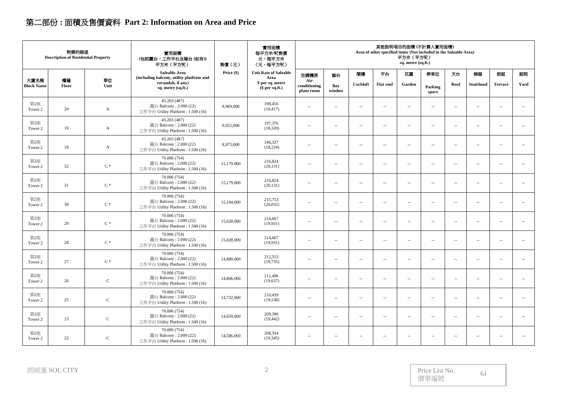# 第二部份 **:** 面積及售價資料 **Part 2: Information on Area and Price**

|                           | 物業的描述<br><b>Description of Residential Property</b> |                | 實用面積<br>(包括露台,工作平台及陽台(如有))<br>平方米 (平方呎)                                      | 其他指明項目的面積(不計算入實用面積)<br>實用面積<br>Area of other specified items (Not included in the Saleable Area)<br>每平方米/呎售價<br>平方米 (平方呎)<br>元,每平方米<br>sq. metre (sq.ft.)<br>售價(元)<br>(元,每平方呎) |                                      |                                    |                          |                          |                          |                          |                          |                          |                          |                            |                          |
|---------------------------|-----------------------------------------------------|----------------|------------------------------------------------------------------------------|--------------------------------------------------------------------------------------------------------------------------------------------------------------------------------|--------------------------------------|------------------------------------|--------------------------|--------------------------|--------------------------|--------------------------|--------------------------|--------------------------|--------------------------|----------------------------|--------------------------|
|                           |                                                     |                | Saleable Area<br>(including balcony, utility platform and                    | Price (\$)                                                                                                                                                                     | <b>Unit Rate of Saleable</b><br>Area | 空調機房                               | 窗台                       | 閣樓                       | 平台                       | 花園                       | 停車位                      | 天台                       | 梯屋                       | 前庭                         | 庭院                       |
| 大廈名稱<br><b>Block Name</b> | 樓層<br>Floor                                         | 單位<br>Unit     | verandah, if any)<br>sq. metre (sq.ft.)                                      |                                                                                                                                                                                | \$ per sq. metre<br>$$$ per sq.ft.)  | Air-<br>conditioning<br>plant room | Bay<br>window            | Cockloft                 | <b>Flat roof</b>         | Garden                   | Parking<br>space         | Roof                     | <b>Stairhood</b>         | <b>Terrace</b>             | Yard                     |
| 第2座<br>Tower 2            | 20                                                  | A              | 45.203 (487)<br>露台 Balcony: 2.000 (22)<br>工作平台 Utility Platform: 1.500 (16)  | 8,969,000                                                                                                                                                                      | 198,416<br>(18, 417)                 | $\sim$                             | $\sim$                   | $\sim$                   | $\sim$ $-$               | $\sim$                   | $\overline{\phantom{a}}$ | $\sim$                   | $\overline{a}$           | $\sim$ $\sim$              | $\sim$                   |
| 第2座<br>Tower 2            | 19                                                  | $\mathbf{A}$   | 45.203 (487)<br>露台 Balcony: 2.000 (22)<br>工作平台 Utility Platform : 1.500 (16) | 8,922,000                                                                                                                                                                      | 197,376<br>(18,320)                  | $\overline{\phantom{a}}$           | $\overline{\phantom{a}}$ | $\sim$                   | $\sim$                   | $\sim$                   | $\overline{\phantom{a}}$ | $\overline{\phantom{a}}$ | $\overline{\phantom{a}}$ | $\overline{\phantom{a}}$   | $\overline{\phantom{a}}$ |
| 第2座<br>Tower 2            | 18                                                  | $\mathbf{A}$   | 45.203 (487)<br>露台 Balcony: 2.000 (22)<br>工作平台 Utility Platform: 1.500 (16)  | 8,875,000                                                                                                                                                                      | 196,337<br>(18, 224)                 | $\sim$                             | $\overline{\phantom{a}}$ | $\sim$                   | $\sim$                   | $\sim$                   | $\sim$                   | $\mathbf{u}$             | $\sim$                   | $\sim$ $\sim$              | $\overline{\phantom{a}}$ |
| 第2座<br>Tower 2            | 32                                                  | $\mathrm{C}$ * | 70.006 (754)<br>露台 Balcony: 2.000 (22)<br>工作平台 Utility Platform: 1.500 (16)  | 15,179,000                                                                                                                                                                     | 216,824<br>(20, 131)                 | $\sim$                             | $\overline{\phantom{a}}$ | $\sim$                   | $\overline{\phantom{a}}$ | $\overline{\phantom{a}}$ | $\overline{\phantom{a}}$ | $\overline{\phantom{a}}$ | $\overline{\phantom{a}}$ | $\overline{\phantom{a}}$   | $\sim$                   |
| 第2座<br>Tower 2            | 31                                                  | $\mathrm{C}$ * | 70.006 (754)<br>露台 Balcony: 2.000 (22)<br>工作平台 Utility Platform: 1.500 (16)  | 15,179,000                                                                                                                                                                     | 216,824<br>(20, 131)                 | $\sim$                             | $\sim$                   | $\sim$                   | $\sim$                   | $\sim$                   | $\sim$                   | $\sim$                   | $\sim$                   | $\sim$ $\sim$              | $\sim$                   |
| 第2座<br>Tower 2            | 30                                                  | $C^*$          | 70.006 (754)<br>露台 Balcony: 2.000 (22)<br>工作平台 Utility Platform: 1.500 (16)  | 15,104,000                                                                                                                                                                     | 215,753<br>(20,032)                  | $\sim$                             | $\mathbf{u}$             | $\sim$                   | $\sim$ $-$               | $\sim$                   | $\mathbf{u}$             | $\overline{\phantom{a}}$ | $\overline{\phantom{a}}$ | $\sim$ $\sim$              | $\overline{\phantom{a}}$ |
| 第2座<br>Tower 2            | 29                                                  | $\mathrm{C}$ * | 70.006 (754)<br>露台 Balcony: 2.000 (22)<br>工作平台 Utility Platform: 1.500 (16)  | 15,028,000                                                                                                                                                                     | 214,667<br>(19, 931)                 | $\sim$                             | $\overline{\phantom{a}}$ | $\sim$                   | $\overline{\phantom{a}}$ | $\sim$                   | $\overline{\phantom{a}}$ | $\overline{\phantom{a}}$ | $\ldots$                 | $\overline{\phantom{a}}$ . | $\overline{\phantom{a}}$ |
| 第2座<br>Tower 2            | 28                                                  | $\mathrm{C}$ * | 70.006 (754)<br>露台 Balcony: 2.000 (22)<br>工作平台 Utility Platform: 1.500 (16)  | 15,028,000                                                                                                                                                                     | 214,667<br>(19,931)                  | $\overline{\phantom{a}}$           | $\overline{\phantom{a}}$ | $\sim$                   | $\overline{\phantom{a}}$ | $\sim$                   | $\overline{\phantom{a}}$ | $\overline{\phantom{a}}$ | $\sim$                   | $\overline{\phantom{a}}$   | $\sim$                   |
| 第2座<br>Tower 2            | 27                                                  | $\mathrm{C}$ * | 70.006 (754)<br>露台 Balcony: 2.000 (22)<br>工作平台 Utility Platform: 1.500 (16)  | 14,880,000                                                                                                                                                                     | 212,553<br>(19,735)                  | $\sim$                             | $\sim$                   | $\sim$                   | $\sim$                   | $\sim$                   | $\sim$                   | $\mathbf{u}$             | $\sim$                   | $\sim$ $\sim$              | $\overline{\phantom{a}}$ |
| 第2座<br>Tower 2            | 26                                                  | $\mathbf C$    | 70,006 (754)<br>露台 Balcony: 2.000 (22)<br>工作平台 Utility Platform : 1.500 (16) | 14,806,000                                                                                                                                                                     | 211,496<br>(19,637)                  | $\sim$                             | $\sim$                   | $\sim$                   | $\overline{\phantom{a}}$ | $\overline{\phantom{a}}$ | $\overline{\phantom{a}}$ | $\overline{\phantom{a}}$ | $\overline{\phantom{a}}$ | $\overline{\phantom{a}}$   | $\overline{\phantom{a}}$ |
| 第2座<br>Tower 2            | 25                                                  | $\mathsf C$    | 70.006 (754)<br>露台 Balcony: 2.000 (22)<br>工作平台 Utility Platform: 1.500 (16)  | 14,732,000                                                                                                                                                                     | 210,439<br>(19, 538)                 | $\sim$                             | $\overline{\phantom{a}}$ | $\sim$                   | $\sim$                   | $\sim$                   | $\sim$                   | $\sim$                   | $\sim$                   | $\sim$ $\sim$              | $\sim$                   |
| 第2座<br>Tower 2            | 23                                                  | $\mathbf C$    | 70.006 (754)<br>露台 Balcony: 2.000 (22)<br>工作平台 Utility Platform: 1.500 (16)  | 14,659,000                                                                                                                                                                     | 209,396<br>(19, 442)                 | $\overline{\phantom{a}}$           | $\sim$                   | $\overline{\phantom{a}}$ | $\sim$                   | $\overline{\phantom{a}}$ | $\sim$                   | $\overline{\phantom{a}}$ | $\overline{\phantom{a}}$ | $\overline{\phantom{a}}$   | $\ldots$                 |
| 第2座<br>Tower 2            | 22                                                  | ${\bf C}$      | 70.006 (754)<br>露台 Balcony: 2.000 (22)<br>工作平台 Utility Platform: 1.500 (16)  | 14,586,000                                                                                                                                                                     | 208,354<br>(19,345)                  | $\sim$                             | $\sim$                   | $\sim$                   | $\sim$                   | $\overline{\phantom{a}}$ | $\sim$                   | $\overline{\phantom{a}}$ | $\overline{\phantom{a}}$ | $\sim$ $\sim$              | $\sim$                   |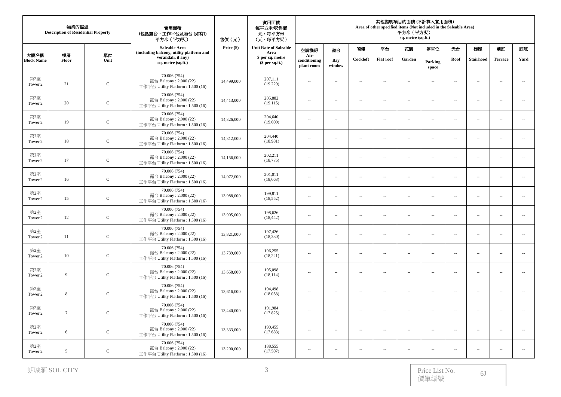| 物業的描述<br><b>Description of Residential Property</b> |                 |             | 實用面積<br>(包括露台,工作平台及陽台(如有))<br>平方米 (平方呎)                                      | 售價(元)      | 實用面積<br>每平方米/呎售價<br>元,每平方米<br>(元,每平方呎) | 其他指明項目的面積 (不計算入實用面積)<br>Area of other specified items (Not included in the Saleable Area)<br>平方米 (平方呎)<br>sq. metre (sq.ft.) |                          |                          |                          |                          |                          |                          |                          |                          |                             |
|-----------------------------------------------------|-----------------|-------------|------------------------------------------------------------------------------|------------|----------------------------------------|------------------------------------------------------------------------------------------------------------------------------|--------------------------|--------------------------|--------------------------|--------------------------|--------------------------|--------------------------|--------------------------|--------------------------|-----------------------------|
|                                                     |                 |             | Saleable Area<br>(including balcony, utility platform and                    | Price (\$) | <b>Unit Rate of Saleable</b><br>Area   | 空調機房                                                                                                                         | 窗台                       | 閣樓                       | 平台                       | 花園                       | 停車位                      | 天台                       | 梯屋                       | 前庭                       | 庭院                          |
| 大廈名稱<br><b>Block Name</b>                           | 樓層<br>Floor     | 單位<br>Unit  | verandah, if any)<br>sq. metre (sq.ft.)                                      |            | \$ per sq. metre<br>$$$ per sq.ft.)    | Air-<br>conditioning<br>plant room                                                                                           | Bay<br>window            | Cockloft                 | <b>Flat roof</b>         | Garden                   | Parking<br>space         | Roof                     | <b>Stairhood</b>         | <b>Terrace</b>           | Yard                        |
| 第2座<br>Tower 2                                      | 21              | $\mathsf C$ | 70.006 (754)<br>露台 Balcony: 2.000 (22)<br>工作平台 Utility Platform: 1.500 (16)  | 14,499,000 | 207,111<br>(19,229)                    | $\sim$                                                                                                                       | $\sim$                   | $\sim$                   | $\sim$                   | $\sim$                   | $\overline{\phantom{a}}$ | $\sim$                   | $\sim$                   | $\sim$                   | $\mathcal{L}_{\mathcal{A}}$ |
| 第2座<br>Tower 2                                      | 20              | $\mathbf C$ | 70.006 (754)<br>露台 Balcony: 2.000 (22)<br>工作平台 Utility Platform: 1.500 (16)  | 14,413,000 | 205,882<br>(19, 115)                   | $\overline{\phantom{a}}$                                                                                                     | $\sim$                   | $\sim$                   | $\overline{\phantom{a}}$ | $\overline{\phantom{a}}$ | $\overline{\phantom{a}}$ | $\sim$                   | $\sim$                   | $\sim$                   | $\overline{\phantom{a}}$    |
| 第2座<br>Tower 2                                      | 19              | $\mathsf C$ | 70.006 (754)<br>露台 Balcony: 2.000 (22)<br>工作平台 Utility Platform: 1.500 (16)  | 14,326,000 | 204,640<br>(19,000)                    | $\cdots$                                                                                                                     | ÷.                       | $\sim$                   | $\overline{\phantom{a}}$ | $\sim$                   | $\overline{\phantom{a}}$ | $\sim$                   | $\sim$                   | $\sim$                   | $\overline{\phantom{a}}$    |
| 第2座<br>Tower 2                                      | 18              | $\mathbf C$ | 70.006 (754)<br>露台 Balcony: 2.000 (22)<br>工作平台 Utility Platform: 1.500 (16)  | 14,312,000 | 204,440<br>(18,981)                    | $\overline{\phantom{a}}$                                                                                                     | $\sim$                   | $\overline{a}$           | $\sim$ $-$               | $\sim$                   | $\overline{\phantom{a}}$ | $\sim$                   | $\sim$                   | $\overline{a}$           | $\sim$                      |
| 第2座<br>Tower 2                                      | 17              | $\mathbf C$ | 70.006 (754)<br>露台 Balcony: 2.000 (22)<br>工作平台 Utility Platform: 1.500 (16)  | 14,156,000 | 202.211<br>(18, 775)                   | $\overline{\phantom{a}}$                                                                                                     | $\sim$                   | $\sim$                   | $\overline{\phantom{a}}$ | $\overline{\phantom{a}}$ | $\overline{\phantom{a}}$ | $\sim$                   | $\sim$                   | $\overline{\phantom{a}}$ | $\overline{\phantom{a}}$    |
| 第2座<br>Tower 2                                      | 16              | $\mathsf C$ | 70.006 (754)<br>露台 Balcony: 2.000 (22)<br>工作平台 Utility Platform: 1.500 (16)  | 14,072,000 | 201,011<br>(18, 663)                   | $\overline{\phantom{a}}$                                                                                                     | $\overline{\phantom{a}}$ | $\overline{a}$           | $\ldots$                 | $\overline{\phantom{a}}$ | $\overline{\phantom{a}}$ | $\overline{\phantom{a}}$ | $\ldots$                 |                          | $\sim$                      |
| 第2座<br>Tower 2                                      | 15              | $\mathbf C$ | 70.006 (754)<br>露台 Balcony: 2.000 (22)<br>工作平台 Utility Platform: 1.500 (16)  | 13,988,000 | 199,811<br>(18, 552)                   | $\overline{\phantom{a}}$                                                                                                     | ÷.                       | $\sim$                   | $\overline{\phantom{a}}$ | $\sim$                   | $\overline{\phantom{a}}$ | $\sim$                   | $\sim$                   | $\sim$                   | $\overline{\phantom{a}}$    |
| 第2座<br>Tower 2                                      | 12              | $\mathsf C$ | 70.006 (754)<br>露台 Balcony: $2.000(22)$<br>工作平台 Utility Platform: 1.500 (16) | 13,905,000 | 198,626<br>(18, 442)                   | $\overline{\phantom{a}}$                                                                                                     | $\sim$                   | $\sim$                   | $\sim$                   | $\overline{\phantom{a}}$ | $\overline{\phantom{a}}$ | $\sim$                   | $\sim$                   | $\sim$ $\sim$            | $\ldots$                    |
| 第2座<br>Tower 2                                      | 11              | $\mathbf C$ | 70.006 (754)<br>露台 Balcony: 2.000 (22)<br>工作平台 Utility Platform: 1.500 (16)  | 13,821,000 | 197,426<br>(18, 330)                   | $\overline{\phantom{a}}$                                                                                                     | $\sim$                   | $\overline{\phantom{a}}$ | $\overline{\phantom{a}}$ | $\overline{\phantom{a}}$ | $\overline{\phantom{a}}$ | $\sim$                   | $\sim$                   | $\sim$ $\sim$            | $\overline{\phantom{a}}$    |
| 第2座<br>Tower 2                                      | 10              | $\mathsf C$ | 70.006 (754)<br>露台 Balcony: 2.000 (22)<br>工作平台 Utility Platform: 1.500 (16)  | 13,739,000 | 196,255<br>(18,221)                    | $\cdots$                                                                                                                     | $\overline{\phantom{a}}$ | $\overline{a}$           | $\overline{\phantom{m}}$ | $\overline{\phantom{a}}$ | $\overline{\phantom{a}}$ | $\sim$                   | $\ldots$                 | $\overline{\phantom{a}}$ | ÷.                          |
| 第2座<br>Tower 2                                      | 9               | $\mathsf C$ | 70.006 (754)<br>露台 Balcony: 2.000 (22)<br>工作平台 Utility Platform: 1.500 (16)  | 13,658,000 | 195,098<br>(18, 114)                   | $\overline{\phantom{a}}$                                                                                                     | $\sim$                   | $\overline{a}$           | $\sim$ $-$               | $\overline{\phantom{a}}$ | $\overline{\phantom{a}}$ | $\overline{\phantom{a}}$ | $\overline{\phantom{a}}$ | $\sim$ $\sim$            | $\overline{\phantom{a}}$    |
| 第2座<br>Tower 2                                      | 8               | ${\bf C}$   | 70,006 (754)<br>露台 Balcony: 2.000 (22)<br>工作平台 Utility Platform: 1.500 (16)  | 13,616,000 | 194,498<br>(18,058)                    | $\overline{\phantom{a}}$                                                                                                     | $\sim$                   | $\overline{\phantom{a}}$ | $\sim$                   | $\overline{\phantom{a}}$ | $\overline{\phantom{a}}$ | $\sim$                   | $\sim$                   | $\overline{\phantom{a}}$ | $\overline{\phantom{a}}$    |
| 第2座<br>Tower 2                                      | $7\phantom{.0}$ | $\mathsf C$ | 70.006 (754)<br>露台 Balcony: 2.000 (22)<br>工作平台 Utility Platform: 1.500 (16)  | 13,440,000 | 191,984<br>(17, 825)                   | $\overline{\phantom{a}}$                                                                                                     | ÷.                       | $\sim$                   | $\overline{\phantom{a}}$ | $\overline{\phantom{a}}$ | $\overline{\phantom{a}}$ | $\overline{\phantom{a}}$ | $\ldots$                 | $\sim$                   | $\ldots$                    |
| 第2座<br>Tower 2                                      | 6               | $\mathbf C$ | 70.006 (754)<br>露台 Balcony: 2.000 (22)<br>工作平台 Utility Platform: 1.500 (16)  | 13,333,000 | 190,455<br>(17,683)                    | $\overline{\phantom{a}}$                                                                                                     | ÷.                       | $\sim$                   | $\overline{\phantom{a}}$ | $\sim$                   | $\overline{\phantom{a}}$ | $\sim$                   | $\sim$                   | $\sim$ $\sim$            | $\overline{\phantom{a}}$    |
| 第2座<br>Tower 2                                      | 5               | $\mathbf C$ | 70.006 (754)<br>露台 Balcony: $2.000(22)$<br>工作平台 Utility Platform: 1.500 (16) | 13,200,000 | 188,555<br>(17,507)                    | $\overline{\phantom{a}}$                                                                                                     | $\sim$                   | $\sim$                   | $\sim$                   | $\overline{\phantom{a}}$ | $\sim$                   | $\sim$                   | $\sim$                   | $\sim$                   | $\overline{a}$              |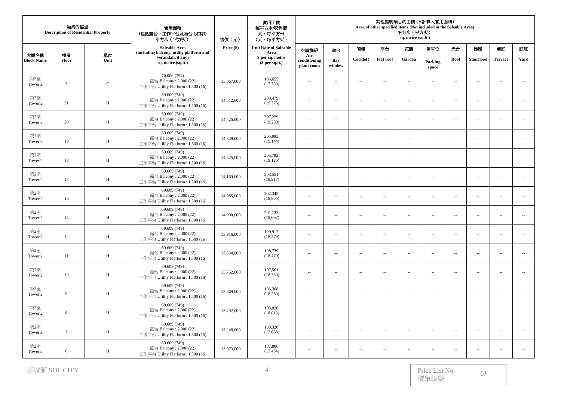| 物業的描述<br><b>Description of Residential Property</b> |                 |              | 實用面積<br>(包括露台,工作平台及陽台(如有))<br>平方米 (平方呎)                                      | 售價(元)      | 實用面積<br>每平方米/呎售價<br>元,每平方米<br>(元,每平方呎) | 其他指明項目的面積 (不計算入實用面積)<br>Area of other specified items (Not included in the Saleable Area)<br>平方米 (平方呎)<br>sq. metre (sq.ft.) |                          |                          |                             |                          |                             |                          |                          |                          |                             |
|-----------------------------------------------------|-----------------|--------------|------------------------------------------------------------------------------|------------|----------------------------------------|------------------------------------------------------------------------------------------------------------------------------|--------------------------|--------------------------|-----------------------------|--------------------------|-----------------------------|--------------------------|--------------------------|--------------------------|-----------------------------|
|                                                     |                 |              | Saleable Area<br>(including balcony, utility platform and                    | Price (\$) | <b>Unit Rate of Saleable</b><br>Area   | 空調機房                                                                                                                         | 窗台                       | 閣樓                       | 平台                          | 花園                       | 停車位                         | 天台                       | 梯屋                       | 前庭                       | 庭院                          |
| 大廈名稱<br><b>Block Name</b>                           | 樓層<br>Floor     | 單位<br>Unit   | verandah, if any)<br>sq. metre (sq.ft.)                                      |            | \$ per sq. metre<br>$$$ per sq.ft.)    | Air-<br>conditioning<br>plant room                                                                                           | Bay<br>window            | Cockloft                 | <b>Flat roof</b>            | Garden                   | Parking<br>space            | Roof                     | <b>Stairhood</b>         | <b>Terrace</b>           | Yard                        |
| 第2座<br>Tower 2                                      | $\overline{3}$  | $\mathbf C$  | 70.006 (754)<br>露台 Balcony: 2.000 (22)<br>工作平台 Utility Platform: 1.500 (16)  | 13,067,000 | 186,655<br>(17,330)                    | $\overline{\phantom{a}}$                                                                                                     | $\sim$                   | $\overline{a}$           | $\sim$                      | $\sim$                   | $\overline{\phantom{a}}$    | $\sim$                   | $\sim$                   | $\sim$                   | $\sim$                      |
| 第2座<br>Tower 2                                      | 21              | $\, {\rm H}$ | 69.609 (749)<br>露台 Balcony: 2.000 (22)<br>工作平台 Utility Platform: 1.500 (16)  | 14,512,000 | 208,479<br>(19,375)                    | $\overline{\phantom{a}}$                                                                                                     | $\overline{\phantom{a}}$ | $\overline{\phantom{a}}$ | $\overline{\phantom{a}}$    | $\overline{\phantom{a}}$ | $\overline{\phantom{a}}$    | $\sim$                   | $\sim$                   | $\sim$                   | $\overline{\phantom{a}}$    |
| 第2座<br>Tower 2                                      | 20              | $\, {\rm H}$ | 69.609 (749)<br>露台 Balcony: 2.000 (22)<br>工作平台 Utility Platform: 1.500 (16)  | 14,425,000 | 207,229<br>(19,259)                    | $\overline{\phantom{a}}$                                                                                                     | $\overline{\phantom{a}}$ | $\overline{a}$           | $\overline{\phantom{a}}$    | $\overline{\phantom{a}}$ | $\overline{\phantom{a}}$    | $\overline{\phantom{a}}$ | $\ldots$                 | $\overline{a}$           | ÷.                          |
| 第2座<br>Tower 2                                      | 19              | H            | 69.609 (749)<br>露台 Balcony: 2.000 (22)<br>工作平台 Utility Platform: 1.500 (16)  | 14,339,000 | 205,993<br>(19, 144)                   | $\cdots$                                                                                                                     | $\overline{\phantom{a}}$ | $\sim$                   | $\overline{\phantom{a}}$    | $\sim$                   | $\overline{\phantom{a}}$    | $\sim$                   | $\sim$                   | $\sim$                   | $\sim$                      |
| 第2座<br>Tower 2                                      | $18\,$          | $\, {\rm H}$ | 69.609 (749)<br>露台 Balcony: 2.000 (22)<br>工作平台 Utility Platform: 1.500 (16)  | 14,325,000 | 205,792<br>(19, 126)                   | $\overline{\phantom{a}}$                                                                                                     | $\sim$                   | $\sim$                   | $\mathcal{L}_{\mathcal{A}}$ | $\sim$                   | $\overline{a}$              | $\sim$                   | $\sim$                   | $\sim$ $\sim$            | $\sim$                      |
| 第2座<br>Tower 2                                      | 17              | H            | 69.609 (749)<br>露台 Balcony: 2.000 (22)<br>工作平台 Utility Platform: 1.500 (16)  | 14,169,000 | 203,551<br>(18,917)                    | $\overline{\phantom{a}}$                                                                                                     | $\sim$                   | $\sim$                   | $\overline{\phantom{a}}$    | $\overline{\phantom{a}}$ | $\overline{\phantom{a}}$    | $\overline{\phantom{a}}$ | $\overline{\phantom{a}}$ | $\overline{\phantom{a}}$ | $\overline{\phantom{a}}$    |
| 第2座<br>Tower 2                                      | 16              | $\, {\rm H}$ | 69.609 (749)<br>露台 Balcony: 2.000 (22)<br>工作平台 Utility Platform: 1.500 (16)  | 14,085,000 | 202,345<br>(18, 805)                   | $\overline{\phantom{a}}$                                                                                                     | ÷.                       | $\overline{a}$           | $\overline{a}$              | $\overline{\phantom{a}}$ | $\overline{\phantom{a}}$    | $\overline{\phantom{a}}$ | $\ldots$                 | $\sim$                   | $\mathcal{L}_{\mathcal{A}}$ |
| 第2座<br>Tower 2                                      | 15              | $\, {\rm H}$ | 69.609 (749)<br>露台 Balcony: 2.000 (22)<br>工作平台 Utility Platform: 1.500 (16)  | 14,000,000 | 201,123<br>(18,692)                    | $\sim$                                                                                                                       | $\sim$                   | $\overline{a}$           | $\sim$ $-$                  | $\sim$                   | $\sim$                      | $\sim$                   | $\sim$                   | $\sim$ $\sim$            | $\sim$                      |
| 第2座<br>Tower 2                                      | 12              | $\, {\rm H}$ | 69.609 (749)<br>露台 Balcony: 2.000 (22)<br>工作平台 Utility Platform: 1.500 (16)  | 13,916,000 | 199,917<br>(18,579)                    | $\overline{\phantom{a}}$                                                                                                     | $\overline{\phantom{a}}$ | $\sim$                   | $\overline{\phantom{a}}$    | $\overline{\phantom{a}}$ | $\overline{\phantom{a}}$    | $\sim$                   | $\sim$                   | $\sim$                   | $\mathcal{L}_{\mathcal{A}}$ |
| 第2座<br>Tower 2                                      | 11              | H            | 69.609 (749)<br>露台 Balcony: 2.000 (22)<br>工作平台 Utility Platform: 1.500 (16)  | 13,834,000 | 198,739<br>(18, 470)                   | $\overline{\phantom{a}}$                                                                                                     | L,                       | $\sim$                   | $\overline{\phantom{a}}$    | $\sim$                   | $\overline{\phantom{a}}$    | $\sim$                   | $\sim$                   | ÷.                       | $\sim$                      |
| 第2座<br>Tower 2                                      | 10              | $\, {\rm H}$ | 69.609 (749)<br>露台 Balcony: 2.000 (22)<br>工作平台 Utility Platform : 1.500 (16) | 13,752,000 | 197,561<br>(18,360)                    | $\cdots$                                                                                                                     | $\sim$                   | $\sim$                   | $\ldots$                    | $\overline{\phantom{a}}$ | $\mathcal{L}_{\mathcal{A}}$ | $\sim$                   | $\ldots$                 | $\sim$ $\sim$            | $\mathcal{L}_{\mathcal{A}}$ |
| 第2座<br>Tower 2                                      | 9               | $\, {\rm H}$ | 69.609 (749)<br>露台 Balcony: 2.000 (22)<br>工作平台 Utility Platform: 1.500 (16)  | 13,669,000 | 196,368<br>(18,250)                    | $\sim$                                                                                                                       | $\sim$                   | $\overline{a}$           | $\sim$                      | $\sim$                   | $\overline{\phantom{a}}$    | $\sim$                   | $\sim$                   | $\sim$ $\sim$            | $\sim$                      |
| 第2座<br>Tower 2                                      | 8               | H            | 69.609 (749)<br>露台 Balcony: 2.000 (22)<br>工作平台 Utility Platform : 1.500 (16) | 13,492,000 | 193,826<br>(18, 013)                   | $\overline{\phantom{a}}$                                                                                                     | $\overline{\phantom{a}}$ | $\overline{\phantom{a}}$ | $\overline{\phantom{a}}$    | $\sim$                   | $\overline{\phantom{a}}$    | $\sim$                   | $\sim$                   | $\sim$                   | $\ldots$                    |
| 第2座<br>Tower 2                                      | $7\phantom{.0}$ | $\, {\rm H}$ | 69.609 (749)<br>露台 Balcony: 2.000 (22)<br>工作平台 Utility Platform: 1.500 (16)  | 13,248,000 | 190,320<br>(17,688)                    | $\overline{\phantom{a}}$                                                                                                     | ÷.                       | $\sim$                   | $\overline{\phantom{a}}$    | $\overline{\phantom{a}}$ | $\overline{\phantom{a}}$    | $\overline{\phantom{a}}$ | $\sim$                   | $\sim$                   | $\ldots$                    |
| 第2座<br>Tower 2                                      | 6               | H            | 69.609 (749)<br>露台 Balcony: $2.000(22)$<br>工作平台 Utility Platform: 1.500 (16) | 13,073,000 | 187,806<br>(17, 454)                   | $\overline{\phantom{a}}$                                                                                                     | Ξ.                       | $\overline{\phantom{a}}$ | $\sim$                      | $\sim$                   | $\sim$                      | $\sim$                   | $\sim$                   | $\sim$                   |                             |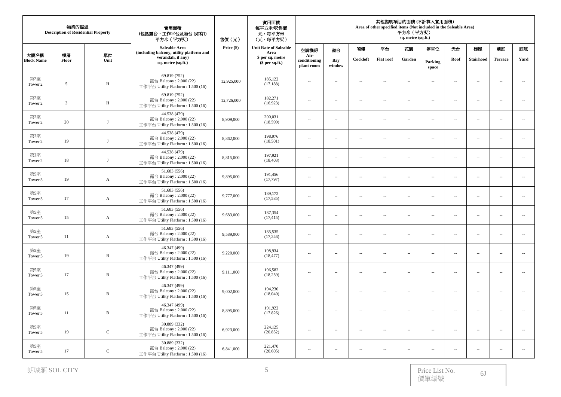| 物業的描述<br><b>Description of Residential Property</b> |                |                  | 實用面積<br>(包括露台,工作平台及陽台(如有))<br>平方米 (平方呎)                                      | 售價(元)      | 實用面積<br>每平方米/呎售價<br>元,每平方米<br>(元,每平方呎) | 其他指明項目的面積 (不計算入實用面積)<br>Area of other specified items (Not included in the Saleable Area)<br>平方米 (平方呎)<br>sq. metre (sq.ft.) |                          |                             |                             |                          |                          |                          |                  |                          |                             |
|-----------------------------------------------------|----------------|------------------|------------------------------------------------------------------------------|------------|----------------------------------------|------------------------------------------------------------------------------------------------------------------------------|--------------------------|-----------------------------|-----------------------------|--------------------------|--------------------------|--------------------------|------------------|--------------------------|-----------------------------|
|                                                     |                |                  | Saleable Area<br>(including balcony, utility platform and                    | Price (\$) | <b>Unit Rate of Saleable</b><br>Area   | 空調機房                                                                                                                         | 窗台                       | 閣樓                          | 平台                          | 花園                       | 停車位                      | 天台                       | 梯屋               | 前庭                       | 庭院                          |
| 大廈名稱<br><b>Block Name</b>                           | 樓層<br>Floor    | 單位<br>Unit       | verandah, if any)<br>sq. metre (sq.ft.)                                      |            | \$ per sq. metre<br>$$$ per sq.ft.)    | Air-<br>conditioning<br>plant room                                                                                           | Bay<br>window            | Cockloft                    | <b>Flat roof</b>            | Garden                   | Parking<br>space         | Roof                     | <b>Stairhood</b> | <b>Terrace</b>           | Yard                        |
| 第2座<br>Tower 2                                      | 5              | $\, {\rm H}$     | 69.819 (752)<br>露台 Balcony: 2.000 (22)<br>工作平台 Utility Platform: 1.500 (16)  | 12,925,000 | 185,122<br>(17, 188)                   | $\overline{\phantom{a}}$                                                                                                     | $\sim$                   | $\sim$                      | $\sim$                      | $\sim$                   | $\overline{\phantom{a}}$ | $\sim$                   | $\sim$           | $\sim$                   | $\mathcal{L}_{\mathcal{A}}$ |
| 第2座<br>Tower 2                                      | $\overline{3}$ | H                | 69.819 (752)<br>露台 Balcony: 2.000 (22)<br>工作平台 Utility Platform: 1.500 (16)  | 12,726,000 | 182,271<br>(16,923)                    | $\overline{\phantom{a}}$                                                                                                     | ÷.                       | $\sim$                      | $\overline{\phantom{a}}$    | $\overline{\phantom{a}}$ | $\overline{\phantom{a}}$ | $\sim$                   | $\sim$           | $\sim$                   | $\overline{\phantom{a}}$    |
| 第2座<br>Tower 2                                      | 20             | J                | 44.538 (479)<br>露台 Balcony: 2.000 (22)<br>工作平台 Utility Platform: 1.500 (16)  | 8,909,000  | 200,031<br>(18,599)                    | $\cdots$                                                                                                                     | ÷.                       | $\sim$                      | $\overline{\phantom{a}}$    | $\sim$                   | $\overline{\phantom{a}}$ | $\sim$                   | $\sim$           | $\sim$                   | $\overline{\phantom{a}}$    |
| 第2座<br>Tower 2                                      | 19             | J                | 44.538 (479)<br>露台 Balcony: 2.000 (22)<br>工作平台 Utility Platform: 1.500 (16)  | 8,862,000  | 198,976<br>(18,501)                    | $\overline{\phantom{a}}$                                                                                                     | $\sim$                   | $\overline{a}$              | $\sim$ $-$                  | $\sim$                   | $\overline{\phantom{a}}$ | $\sim$                   | $\sim$           | $\overline{a}$           | $\sim$                      |
| 第2座<br>Tower 2                                      | 18             | J                | 44.538 (479)<br>露台 Balcony: 2.000 (22)<br>工作平台 Utility Platform: 1.500 (16)  | 8,815,000  | 197,921<br>(18, 403)                   | $\overline{\phantom{a}}$                                                                                                     | $\sim$                   | $\sim$                      | $\overline{\phantom{a}}$    | $\overline{\phantom{a}}$ | $\overline{\phantom{a}}$ | $\sim$                   | $\sim$           | $\overline{\phantom{a}}$ | $\overline{\phantom{a}}$    |
| 第5座<br>Tower 5                                      | 19             | $\boldsymbol{A}$ | 51.683 (556)<br>露台 Balcony: 2.000 (22)<br>工作平台 Utility Platform: 1.500 (16)  | 9,895,000  | 191,456<br>(17,797)                    | --                                                                                                                           | $\overline{\phantom{a}}$ | $\overline{a}$              | $\ldots$                    | $\overline{\phantom{a}}$ | $\overline{\phantom{a}}$ | $\overline{\phantom{a}}$ | $\ldots$         |                          | $\sim$                      |
| 第5座<br>Tower 5                                      | 17             | $\mathbf{A}$     | 51.683 (556)<br>露台 Balcony: 2.000 (22)<br>工作平台 Utility Platform: 1.500 (16)  | 9,777,000  | 189,172<br>(17,585)                    | $\overline{\phantom{a}}$                                                                                                     | ÷.                       | $\sim$                      | $\overline{\phantom{a}}$    | $\sim$                   | $\overline{\phantom{a}}$ | $\sim$                   | $\sim$           | $\sim$                   | $\overline{\phantom{a}}$    |
| 第5座<br>Tower 5                                      | 15             | $\mathbf A$      | 51.683 (556)<br>露台 Balcony: $2.000(22)$<br>工作平台 Utility Platform: 1.500 (16) | 9,683,000  | 187,354<br>(17, 415)                   | $\overline{\phantom{a}}$                                                                                                     | $\sim$                   | $\mathcal{L}_{\mathcal{A}}$ | $\sim$                      | $\overline{\phantom{a}}$ | $\overline{\phantom{a}}$ | $\sim$                   | $\sim$           | $\sim$ $\sim$            | $\ldots$                    |
| 第5座<br>Tower 5                                      | 11             | A                | 51.683 (556)<br>露台 Balcony: 2.000 (22)<br>工作平台 Utility Platform: 1.500 (16)  | 9,589,000  | 185,535<br>(17,246)                    | $\overline{\phantom{a}}$                                                                                                     | $\sim$                   | $\overline{\phantom{a}}$    | $\overline{\phantom{a}}$    | $\overline{\phantom{a}}$ | $\overline{\phantom{a}}$ | $\sim$                   | $\sim$           | $\overline{\phantom{a}}$ | $\overline{\phantom{a}}$    |
| 第5座<br>Tower 5                                      | 19             | $\, {\bf B}$     | 46.347 (499)<br>露台 Balcony: 2.000 (22)<br>工作平台 Utility Platform: 1.500 (16)  | 9,220,000  | 198,934<br>(18, 477)                   | $\cdots$                                                                                                                     | $\overline{\phantom{a}}$ | $\overline{a}$              | $\overline{\phantom{m}}$    | $\overline{\phantom{a}}$ | $\overline{\phantom{a}}$ | $\sim$                   | $\ldots$         | $\overline{\phantom{a}}$ | $\mathcal{L}_{\mathcal{A}}$ |
| 第5座<br>Tower 5                                      | 17             | $\, {\bf B}$     | 46.347 (499)<br>露台 Balcony: 2.000 (22)<br>工作平台 Utility Platform: 1.500 (16)  | 9,111,000  | 196,582<br>(18,259)                    | $\overline{\phantom{a}}$                                                                                                     | $\overline{\phantom{a}}$ | $\overline{a}$              | $\mathcal{L}_{\mathcal{A}}$ | $\overline{\phantom{a}}$ | $\overline{\phantom{a}}$ | $\overline{\phantom{a}}$ | $\sim$           | $\sim$ $\sim$            | $\overline{\phantom{a}}$    |
| 第5座<br>Tower 5                                      | 15             | B                | 46.347 (499)<br>露台 Balcony: 2.000 (22)<br>工作平台 Utility Platform: 1.500 (16)  | 9,002,000  | 194,230<br>(18,040)                    | $\overline{\phantom{a}}$                                                                                                     | $\sim$                   | $\overline{\phantom{a}}$    | $\sim$                      | $\overline{\phantom{a}}$ | $\overline{\phantom{a}}$ | $\sim$                   | $\sim$           | $\overline{\phantom{a}}$ | $\overline{\phantom{a}}$    |
| 第5座<br>Tower 5                                      | 11             | $\, {\bf B}$     | 46.347 (499)<br>露台 Balcony: 2.000 (22)<br>工作平台 Utility Platform: 1.500 (16)  | 8,895,000  | 191,922<br>(17, 826)                   | $\overline{\phantom{a}}$                                                                                                     | ÷.                       | $\sim$                      | $\overline{\phantom{a}}$    | $\overline{\phantom{a}}$ | $\overline{\phantom{a}}$ | $\overline{\phantom{a}}$ | $\ldots$         | $\sim$                   | $\ldots$                    |
| 第5座<br>Tower 5                                      | 19             | $\mathbf C$      | 30.889 (332)<br>露台 Balcony: 2.000 (22)<br>工作平台 Utility Platform: 1.500 (16)  | 6,923,000  | 224,125<br>(20, 852)                   | $\overline{\phantom{a}}$                                                                                                     | ÷.                       | $\sim$                      | $\overline{\phantom{a}}$    | $\sim$                   | $\overline{\phantom{a}}$ | $\sim$                   | $\sim$           | $\sim$                   | $\overline{\phantom{a}}$    |
| 第5座<br>Tower 5                                      | 17             | $\mathbf C$      | 30.889 (332)<br>露台 Balcony: $2.000(22)$<br>工作平台 Utility Platform: 1.500 (16) | 6,841,000  | 221,470<br>(20,605)                    | $\overline{\phantom{a}}$                                                                                                     | $\sim$                   | $\sim$                      | $\sim$                      | $\overline{\phantom{a}}$ | $\sim$                   | $\sim$                   | $\sim$           | $\sim$                   | $\overline{a}$              |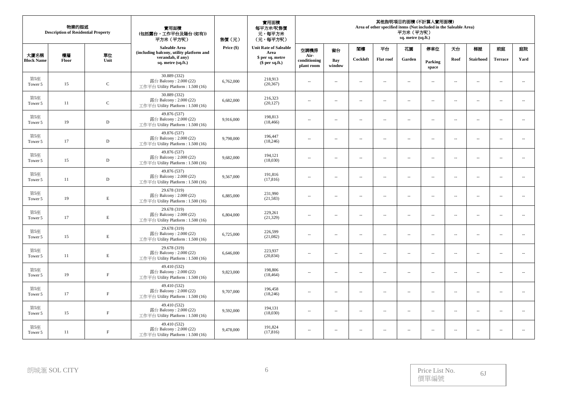| 物業的描述<br><b>Description of Residential Property</b> |             |              | 實用面積<br>(包括露台,工作平台及陽台(如有))<br>平方米 (平方呎)                                      | 售價(元)      | 實用面積<br>每平方米/呎售價<br>元,每平方米<br>(元,每平方呎) | 其他指明項目的面積 (不計算人實用面積)<br>Area of other specified items (Not included in the Saleable Area)<br>平方米(平方呎)<br>sq. metre (sq.ft.) |                          |                          |                             |                          |                          |                          |                          |                          |                          |
|-----------------------------------------------------|-------------|--------------|------------------------------------------------------------------------------|------------|----------------------------------------|-----------------------------------------------------------------------------------------------------------------------------|--------------------------|--------------------------|-----------------------------|--------------------------|--------------------------|--------------------------|--------------------------|--------------------------|--------------------------|
|                                                     |             |              | Saleable Area<br>(including balcony, utility platform and                    | Price (\$) | <b>Unit Rate of Saleable</b><br>Area   | 空調機房                                                                                                                        | 窗台                       | 閣樓                       | 平台                          | 花園                       | 停車位                      | 天台                       | 梯屋                       | 前庭                       | 庭院                       |
| 大廈名稱<br><b>Block Name</b>                           | 樓層<br>Floor | 單位<br>Unit   | verandah, if any)<br>sq. metre (sq.ft.)                                      |            | \$ per sq. metre<br>$$$ per sq.ft.)    | Air-<br>conditioning<br>plant room                                                                                          | Bay<br>window            | Cockloft                 | <b>Flat roof</b>            | Garden                   | Parking<br>space         | Roof                     | Stairhood                | <b>Terrace</b>           | Yard                     |
| 第5座<br>Tower 5                                      | 15          | $\mathbf C$  | 30.889 (332)<br>露台 Balcony: 2.000 (22)<br>工作平台 Utility Platform: 1.500 (16)  | 6,762,000  | 218,913<br>(20, 367)                   | $\overline{\phantom{a}}$                                                                                                    | $\sim$                   | $\overline{a}$           | $\mathcal{L}_{\mathcal{A}}$ | $\overline{\phantom{a}}$ | $\overline{\phantom{a}}$ | $\overline{\phantom{a}}$ | $\sim$                   | $\sim$ $\sim$            | $\overline{\phantom{a}}$ |
| 第5座<br>Tower 5                                      | 11          | $\mathsf{C}$ | 30.889 (332)<br>露台 Balcony: 2.000 (22)<br>工作平台 Utility Platform: 1.500 (16)  | 6,682,000  | 216,323<br>(20, 127)                   | $\overline{\phantom{a}}$                                                                                                    | $\sim$                   | $\sim$                   | $\overline{\phantom{a}}$    | $\overline{\phantom{a}}$ | $\overline{\phantom{a}}$ | $\overline{\phantom{a}}$ | $\overline{\phantom{a}}$ | $\sim$                   | $\overline{\phantom{a}}$ |
| 第5座<br>Tower 5                                      | 19          | $\mathbf D$  | 49.876 (537)<br>露台 Balcony: 2.000 (22)<br>工作平台 Utility Platform: 1.500 (16)  | 9,916,000  | 198,813<br>(18, 466)                   | $\overline{\phantom{a}}$                                                                                                    | ÷.                       | $\sim$                   | $\overline{\phantom{a}}$    | $\overline{\phantom{a}}$ | $\overline{\phantom{a}}$ | $\sim$                   | $\sim$                   | $\sim$                   | $\sim$                   |
| 第5座<br>Tower 5                                      | 17          | $\mathbf D$  | 49.876 (537)<br>露台 Balcony: 2.000 (22)<br>工作平台 Utility Platform: 1.500 (16)  | 9,798,000  | 196,447<br>(18,246)                    | $\overline{\phantom{a}}$                                                                                                    | $\sim$                   | $\overline{\phantom{a}}$ | $\overline{\phantom{a}}$    | $\overline{\phantom{a}}$ | $\overline{\phantom{a}}$ | $\sim$                   | $\sim$                   | $\sim$                   | $\overline{\phantom{a}}$ |
| 第5座<br>Tower 5                                      | 15          | $\mathbb D$  | 49.876 (537)<br>露台 Balcony: 2.000 (22)<br>工作平台 Utility Platform: 1.500 (16)  | 9,682,000  | 194,121<br>(18,030)                    | $\overline{\phantom{a}}$                                                                                                    | $\sim$                   | $\sim$                   | $\overline{\phantom{a}}$    | $\sim$                   | $\overline{\phantom{a}}$ | $\sim$                   | $\sim$                   | $\sim$ $\sim$            | $\overline{a}$           |
| 第5座<br>Tower 5                                      | 11          | $\mathbb D$  | 49.876 (537)<br>露台 Balcony: 2.000 (22)<br>工作平台 Utility Platform: 1.500 (16)  | 9,567,000  | 191,816<br>(17, 816)                   | $\overline{\phantom{a}}$                                                                                                    | $\overline{\phantom{a}}$ | $\sim$                   | $\overline{\phantom{a}}$    | $\overline{\phantom{a}}$ | $\overline{\phantom{a}}$ | $\overline{\phantom{a}}$ | $\overline{\phantom{a}}$ | $\overline{\phantom{a}}$ | $\sim$                   |
| 第5座<br>Tower 5                                      | 19          | $\mathbf E$  | 29.678 (319)<br>露台 Balcony: 2.000 (22)<br>工作平台 Utility Platform: 1.500 (16)  | 6,885,000  | 231,990<br>(21,583)                    | $\overline{\phantom{a}}$                                                                                                    | $\sim$                   | $\overline{a}$           | $\sim$ $-$                  | $\sim$                   | $\overline{\phantom{a}}$ | $\sim$                   | $\sim$                   | $\sim$ $\sim$            | $\overline{\phantom{a}}$ |
| 第5座<br>Tower 5                                      | 17          | E            | 29.678 (319)<br>露台 Balcony: 2.000 (22)<br>工作平台 Utility Platform: 1.500 (16)  | 6,804,000  | 229,261<br>(21, 329)                   | $\overline{\phantom{a}}$                                                                                                    | ÷.                       | $\sim$                   | $\overline{\phantom{a}}$    | $\sim$                   | $\overline{\phantom{a}}$ | $\sim$                   | $\sim$                   | $\sim$                   | $\sim$                   |
| 第5座<br>Tower 5                                      | 15          | $\mathbf E$  | 29.678 (319)<br>露台 Balcony: 2.000 (22)<br>工作平台 Utility Platform: 1.500 (16)  | 6,725,000  | 226,599<br>(21,082)                    | $\overline{\phantom{a}}$                                                                                                    | ÷.                       | $\sim$                   | $\overline{\phantom{a}}$    | $\sim$                   | $\overline{\phantom{a}}$ | $\sim$                   | $\sim$                   | $\sim$                   | $\overline{\phantom{a}}$ |
| 第5座<br>Tower 5                                      | 11          | $\mathbf E$  | 29.678 (319)<br>露台 Balcony: 2.000 (22)<br>工作平台 Utility Platform: 1.500 (16)  | 6,646,000  | 223,937<br>(20, 834)                   | $\overline{\phantom{a}}$                                                                                                    | $\overline{\phantom{a}}$ | $\overline{\phantom{a}}$ | $\overline{\phantom{a}}$    | $\overline{\phantom{a}}$ | $\overline{\phantom{a}}$ | $\sim$                   | $\sim$                   | $\overline{\phantom{a}}$ | $\overline{\phantom{a}}$ |
| 第5座<br>Tower 5                                      | 19          | $\rm F$      | 49.410 (532)<br>露台 Balcony: 2.000 (22)<br>工作平台 Utility Platform: 1.500 (16)  | 9,823,000  | 198,806<br>(18, 464)                   | $\sim$                                                                                                                      | $\sim$                   | $\sim$                   | $\sim$                      | $\sim$                   | $\overline{\phantom{a}}$ | $\sim$                   | $\sim$                   | $\sim$                   | $\sim$                   |
| 第5座<br>Tower 5                                      | 17          | $\rm F$      | 49.410 (532)<br>露台 Balcony: 2.000 (22)<br>工作平台 Utility Platform: 1.500 (16)  | 9,707,000  | 196,458<br>(18,246)                    | $\overline{\phantom{a}}$                                                                                                    | ÷.                       | $\sim$                   | $\overline{\phantom{a}}$    | $\sim$                   | $\overline{\phantom{a}}$ | $\sim$                   | $\sim$                   | $\sim$                   | $\overline{\phantom{a}}$ |
| 第5座<br>Tower 5                                      | 15          | $\,$ F       | 49.410 (532)<br>露台 Balcony: 2.000 (22)<br>工作平台 Utility Platform : 1.500 (16) | 9,592,000  | 194,131<br>(18,030)                    | $\sim$                                                                                                                      | $\sim$                   | $\sim$                   | $\sim$ $-$                  | $\overline{\phantom{a}}$ | $\sim$                   | $\sim$                   | $\sim$                   | $\sim$ $\sim$            | $\sim$                   |
| 第5座<br>Tower 5                                      | 11          | $_{\rm F}$   | 49.410 (532)<br>露台 Balcony: 2.000 (22)<br>工作平台 Utility Platform: 1.500 (16)  | 9,478,000  | 191,824<br>(17, 816)                   | $\overline{\phantom{a}}$                                                                                                    | $\sim$                   | $\sim$                   | $\overline{\phantom{a}}$    | $\sim$                   | $\overline{\phantom{a}}$ | $\sim$                   | $\sim$                   | $\sim$                   | $\overline{\phantom{a}}$ |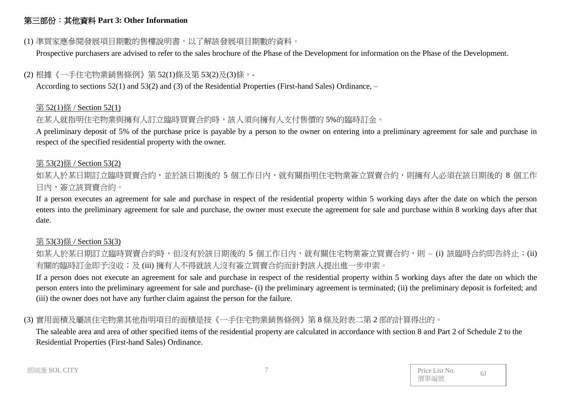## 第三部份:其他資料 **Part 3: Other Information**

### (1) 準買家應參閱發展項目期數的售樓說明書,以了解該發展項目期數的資料。

Prospective purchasers are advised to refer to the sales brochure of the Phase of the Development for information on the Phase of the Development.

## (2) 根據《一手住宅物業銷售條例》第 52(1)條及第 53(2)及(3)條,-

According to sections 52(1) and 53(2) and (3) of the Residential Properties (First-hand Sales) Ordinance, –

#### 第 52(1)條 / Section 52(1)

## 在某人就指明住宅物業與擁有人訂立臨時買賣合約時,該人須向擁有人支付售價的 5%的臨時訂金。

A preliminary deposit of 5% of the purchase price is payable by a person to the owner on entering into a preliminary agreement for sale and purchase in respect of the specified residential property with the owner.

#### 第 53(2)條 / Section 53(2)

如某人於某日期訂立臨時買賣合約,並於該日期後的 5 個工作日內,就有關指明住宅物業簽立買賣合約,則擁有人必須在該日期後的 8 個工作 日內,簽立該買賣合約。

If a person executes an agreement for sale and purchase in respect of the residential property within 5 working days after the date on which the person enters into the preliminary agreement for sale and purchase, the owner must execute the agreement for sale and purchase within 8 working days after that date.

## 第 53(3)條 / Section 53(3)

如某人於某日期訂立臨時買賣合約時,但沒有於該日期後的 5 個工作日內,就有關住宅物業簽立買賣合約,則 – (i) 該臨時合約即告終止;(ii) 有關的臨時訂金即予沒收;及 (iii) 擁有人不得就該人沒有簽立買賣合約而針對該人提出進一步申索。

If a person does not execute an agreement for sale and purchase in respect of the residential property within 5 working days after the date on which the person enters into the preliminary agreement for sale and purchase- (i) the preliminary agreement is terminated; (ii) the preliminary deposit is forfeited; and (iii) the owner does not have any further claim against the person for the failure.

# (3) 實用面積及屬該住宅物業其他指明項目的面積是按《一手住宅物業銷售條例》第 8 條及附表二第 2 部的計算得出的。

The saleable area and area of other specified items of the residential property are calculated in accordance with section 8 and Part 2 of Schedule 2 to the Residential Properties (First-hand Sales) Ordinance.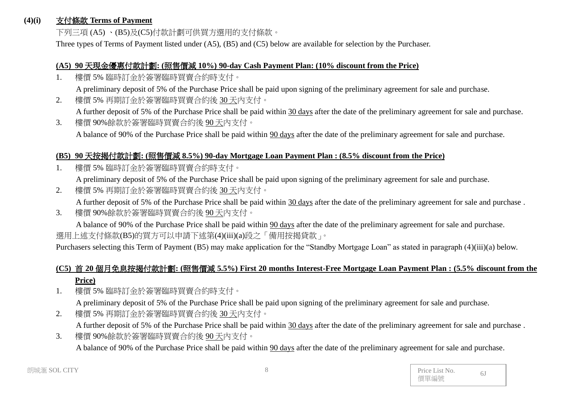#### **(4)(i)** 支付條款 **Terms of Payment**

下列三項 (A5) 、(B5)及(C5)付款計劃可供買方選用的支付條款。

Three types of Terms of Payment listed under (A5), (B5) and (C5) below are available for selection by the Purchaser.

#### **(A5) 90** 天現金優惠付款計劃**: (**照售價減 **10%) 90-day Cash Payment Plan: (10% discount from the Price)**

1. 樓價 5% 臨時訂金於簽署臨時買賣合約時支付。

A preliminary deposit of 5% of the Purchase Price shall be paid upon signing of the preliminary agreement for sale and purchase.

2. 樓價 5% 再期訂金於簽署臨時買賣合約後 30 天內支付。

A further deposit of 5% of the Purchase Price shall be paid within 30 days after the date of the preliminary agreement for sale and purchase.

3. 樓價 90%餘款於簽署臨時買賣合約後 90 天內支付。 A balance of 90% of the Purchase Price shall be paid within 90 days after the date of the preliminary agreement for sale and purchase.

#### **(B5) 90** 天按揭付款計劃**: (**照售價減 **8.5%) 90-day Mortgage Loan Payment Plan : (8.5% discount from the Price)**

1. 樓價 5% 臨時訂金於簽署臨時買賣合約時支付。

A preliminary deposit of 5% of the Purchase Price shall be paid upon signing of the preliminary agreement for sale and purchase.

- 2. 樓價 5% 再期訂金於簽署臨時買賣合約後 30天內支付。 A further deposit of 5% of the Purchase Price shall be paid within 30 days after the date of the preliminary agreement for sale and purchase .
- 3. 樓價 90%餘款於簽署臨時買賣合約後 90 天內支付。

A balance of 90% of the Purchase Price shall be paid within 90 days after the date of the preliminary agreement for sale and purchase. 選用上述支付條款(B5)的買方可以申請下述第(4)(iii)(a)段之「備用按揭貸款」。

Purchasers selecting this Term of Payment (B5) may make application for the "Standby Mortgage Loan" as stated in paragraph (4)(iii)(a) below.

# **(C5)** 首 **20** 個月免息按揭付款計劃**: (**照售價減 **5.5%) First 20 months Interest-Free Mortgage Loan Payment Plan : (5.5% discount from the Price)**

- 1. 樓價 5% 臨時訂金於簽署臨時買賣合約時支付。 A preliminary deposit of 5% of the Purchase Price shall be paid upon signing of the preliminary agreement for sale and purchase.
- 2. 樓價 5% 再期訂金於簽署臨時買賣合約後 30 天內支付。 A further deposit of 5% of the Purchase Price shall be paid within 30 days after the date of the preliminary agreement for sale and purchase .
- 3. 樓價 90%餘款於簽署臨時買賣合約後 90 天內支付。 A balance of 90% of the Purchase Price shall be paid within 90 days after the date of the preliminary agreement for sale and purchase.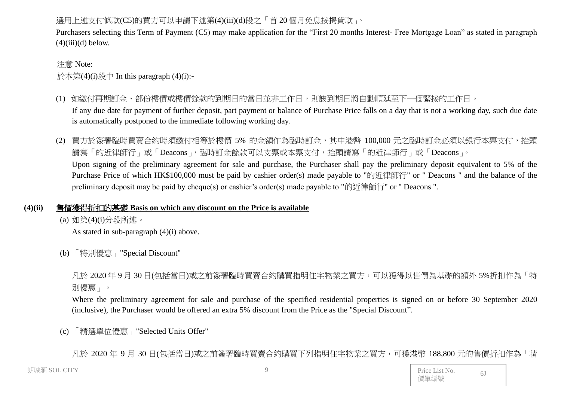## 選用上述支付條款(C5)的買方可以申請下述第(4)(iii)(d)段之「首20個月免息按揭貸款」。

Purchasers selecting this Term of Payment (C5) may make application for the "First 20 months Interest- Free Mortgage Loan" as stated in paragraph  $(4)(iii)(d)$  below.

#### 注意 Note:

於本第(4)(i)段中 In this paragraph (4)(i):-

- (1) 如繳付再期訂金、部份樓價或樓價餘款的到期日的當日並非工作日,則該到期日將自動順延至下一個緊接的工作日。 If any due date for payment of further deposit, part payment or balance of Purchase Price falls on a day that is not a working day, such due date is automatically postponed to the immediate following working day.
- (2) 買方於簽署臨時買賣合約時須繳付相等於樓價 5% 的金額作為臨時訂金,其中港幣 100,000 元之臨時訂金必須以銀行本票支付,抬頭 請寫「的近律師行」或「Deacons」,臨時訂金餘款可以支票或本票支付,抬頭請寫「的近律師行」或「Deacons」。 Upon signing of the preliminary agreement for sale and purchase, the Purchaser shall pay the preliminary deposit equivalent to 5% of the Purchase Price of which HK\$100,000 must be paid by cashier order(s) made payable to "的近律師行" or " Deacons " and the balance of the preliminary deposit may be paid by cheque(s) or cashier's order(s) made payable to "的近律師行" or " Deacons ".

## **(4)(ii)** 售價獲得折扣的基礎 **Basis on which any discount on the Price is available**

(a) 如第(4)(i)分段所述。

As stated in sub-paragraph (4)(i) above.

(b) 「特別優惠」"Special Discount"

凡於 2020 年 9 月 30 日(包括當日)或之前簽署臨時買賣合約購買指明住宅物業之買方,可以獲得以售價為基礎的額外 5%折扣作為「特 別優惠」。

Where the preliminary agreement for sale and purchase of the specified residential properties is signed on or before 30 September 2020 (inclusive), the Purchaser would be offered an extra 5% discount from the Price as the "Special Discount".

(c) 「精選單位優惠」"Selected Units Offer"

凡於 2020 年 9 月 30 日(包括當日)或之前簽署臨時買賣合約購買下列指明住宅物業之買方,可獲港幣 188,800 元的售價折扣作為「精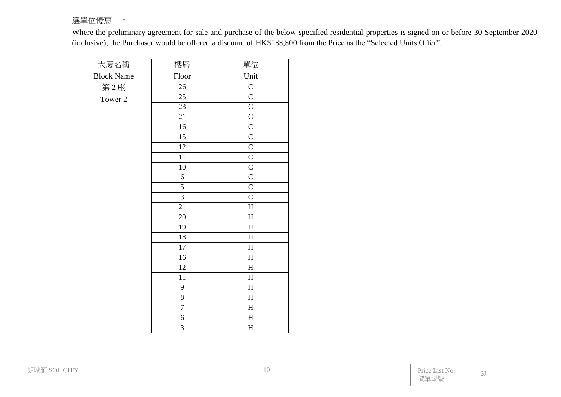## 選單位優惠」。

Where the preliminary agreement for sale and purchase of the below specified residential properties is signed on or before 30 September 2020 (inclusive), the Purchaser would be offered a discount of HK\$188,800 from the Price as the "Selected Units Offer".

| 大廈名稱              | 樓層             | 單位                        |
|-------------------|----------------|---------------------------|
| <b>Block Name</b> | Floor          | Unit                      |
| 第2座               | 26             | $\overline{C}$            |
| Tower 2           | 25             | $\overline{C}$            |
|                   | 23             | $\mathsf{C}$              |
|                   | 21             | $\overline{C}$            |
|                   | 16             | $\mathsf{C}$              |
|                   | 15             | $\overline{C}$            |
|                   | 12             | $\overline{C}$            |
|                   | $11\,$         | $\overline{C}$            |
|                   | $10\,$         | $\overline{C}$            |
|                   | 6              | $\overline{C}$            |
|                   | $\overline{5}$ | $\overline{C}$            |
|                   | $\overline{3}$ | $\overline{C}$            |
|                   | 21             | $\rm H$                   |
|                   | $20\,$         | $\boldsymbol{\mathrm{H}}$ |
|                   | 19             | $\mathbf H$               |
|                   | 18             | $\mathbf H$               |
|                   | 17             | $\mathbf H$               |
|                   | 16             | $\boldsymbol{\mathrm{H}}$ |
|                   | 12             | $H_{\rm}$                 |
|                   | $11\,$         | $\boldsymbol{\mathrm{H}}$ |
|                   | 9              | $\boldsymbol{\mathrm{H}}$ |
|                   | $\overline{8}$ | $\mathbf H$               |
|                   | $\overline{7}$ | $\mathbf H$               |
|                   | $\sqrt{6}$     | $\mathbf H$               |
|                   | 3              | $\rm H$                   |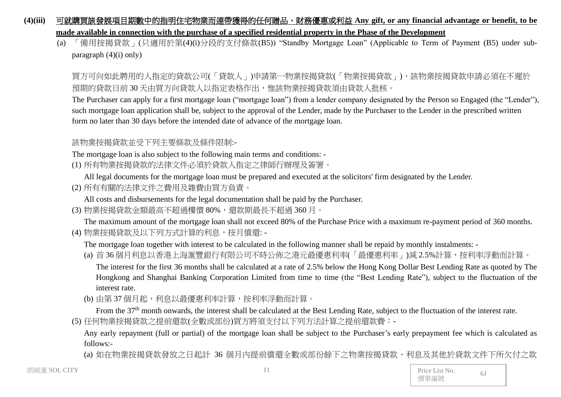### **(4)(iii)** 可就購買該發展項目期數中的指明住宅物業而連帶獲得的任何贈品、財務優惠或利益 **Any gift, or any financial advantage or benefit, to be made available in connection with the purchase of a specified residential property in the Phase of the Development**

(a) 「備用按揭貸款」(只適用於第(4)(i)分段的支付條款(B5)) "Standby Mortgage Loan" (Applicable to Term of Payment (B5) under subparagraph (4)(i) only)

買方可向如此聘用的人指定的貸款公司(「貸款人」)申請第一物業按揭貸款(「物業按揭貸款」),該物業按揭貸款申請必須在不遲於 預期的貸款日前 30 天由買方向貸款人以指定表格作出,惟該物業按揭貸款須由貸款人批核。

The Purchaser can apply for a first mortgage loan ("mortgage loan") from a lender company designated by the Person so Engaged (the "Lender"), such mortgage loan application shall be, subject to the approval of the Lender, made by the Purchaser to the Lender in the prescribed written form no later than 30 days before the intended date of advance of the mortgage loan.

該物業按揭貸款並受下列主要條款及條件限制:-

The mortgage loan is also subject to the following main terms and conditions: -

(1) 所有物業按揭貸款的法律文件必須於貸款人指定之律師行辦理及簽署。

All legal documents for the mortgage loan must be prepared and executed at the solicitors' firm designated by the Lender.

(2) 所有有關的法律文件之費用及雜費由買方負責。

All costs and disbursements for the legal documentation shall be paid by the Purchaser.

(3) 物業按揭貸款金額最高不超過樓價 80%,還款期最長不超過 360 月。

The maximum amount of the mortgage loan shall not exceed 80% of the Purchase Price with a maximum re-payment period of 360 months. (4) 物業按揭貸款及以下列方式計算的利息,按月償還: -

The mortgage loan together with interest to be calculated in the following manner shall be repaid by monthly instalments: -

- (a) 首 36 個月利息以香港上海滙豐銀行有限公司不時公佈之港元最優惠利率(「最優惠利率」)減 2.5%計算, 按利率浮動而計算。 The interest for the first 36 months shall be calculated at a rate of 2.5% below the Hong Kong Dollar Best Lending Rate as quoted by The Hongkong and Shanghai Banking Corporation Limited from time to time (the "Best Lending Rate"), subject to the fluctuation of the interest rate.
- (b) 由第 37 個月起,利息以最優惠利率計算,按利率浮動而計算。

From the 37<sup>th</sup> month onwards, the interest shall be calculated at the Best Lending Rate, subject to the fluctuation of the interest rate.

(5) 任何物業按揭貸款之提前還款(全數或部份)買方將須支付以下列方法計算之提前還款費:-

Any early repayment (full or partial) of the mortgage loan shall be subject to the Purchaser's early prepayment fee which is calculated as follows:-

(a) 如在物業按揭貸款發放之日起計 36 個月內提前償還全數或部份餘下之物業按揭貸款、利息及其他於貸款文件下所欠付之款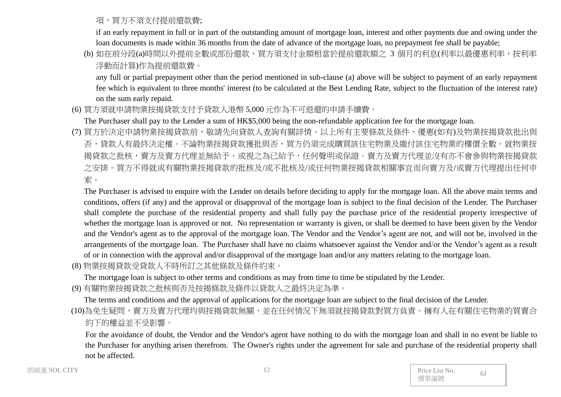項,買方不須支付提前還款費;

if an early repayment in full or in part of the outstanding amount of mortgage loan, interest and other payments due and owing under the loan documents is made within 36 months from the date of advance of the mortgage loan, no prepayment fee shall be payable;

(b) 如在前分段(a)時間以外提前全數或部份還款,買方須支付金額相當於提前還款額之 3 個月的利息(利率以最優惠利率,按利率 浮動而計算)作為提前還款費。

any full or partial prepayment other than the period mentioned in sub-clause (a) above will be subject to payment of an early repayment fee which is equivalent to three months' interest (to be calculated at the Best Lending Rate, subject to the fluctuation of the interest rate) on the sum early repaid.

(6) 買方須就申請物業按揭貸款支付予貸款人港幣 5,000 元作為不可退還的申請手續費。

The Purchaser shall pay to the Lender a sum of HK\$5,000 being the non-refundable application fee for the mortgage loan.

(7) 買方於決定申請物業按揭貸款前,敬請先向貸款人查詢有關詳情。以上所有主要條款及條件、優惠(如有)及物業按揭貸款批出與 否,貸款人有最終決定權。不論物業按揭貸款獲批與否,買方仍須完成購買該住宅物業及繳付該住宅物業的樓價全數。就物業按 揭貸款之批核,賣方及賣方代理並無給予,或視之為已給予,任何聲明或保證。賣方及賣方代理並沒有亦不會參與物業按揭貸款 之安排。買方不得就或有關物業按揭貸款的批核及/或不批核及/或任何物業按揭貸款相關事宜而向賣方及/或賣方代理提出任何申 索。

The Purchaser is advised to enquire with the Lender on details before deciding to apply for the mortgage loan. All the above main terms and conditions, offers (if any) and the approval or disapproval of the mortgage loan is subject to the final decision of the Lender. The Purchaser shall complete the purchase of the residential property and shall fully pay the purchase price of the residential property irrespective of whether the mortgage loan is approved or not. No representation or warranty is given, or shall be deemed to have been given by the Vendor and the Vendor's agent as to the approval of the mortgage loan. The Vendor and the Vendor's agent are not, and will not be, involved in the arrangements of the mortgage loan. The Purchaser shall have no claims whatsoever against the Vendor and/or the Vendor's agent as a result of or in connection with the approval and/or disapproval of the mortgage loan and/or any matters relating to the mortgage loan.

(8) 物業按揭貸款受貸款人不時所訂之其他條款及條件約束。

The mortgage loan is subject to other terms and conditions as may from time to time be stipulated by the Lender.

(9) 有關物業按揭貸款之批核與否及按揭條款及條件以貸款人之最終決定為準。

The terms and conditions and the approval of applications for the mortgage loan are subject to the final decision of the Lender.

(10)為免生疑問,賣方及賣方代理均與按揭貸款無關,並在任何情況下無須就按揭貸款對買方負責。擁有人在有關住宅物業的買賣合 約下的權益並不受影響。

For the avoidance of doubt, the Vendor and the Vendor's agent have nothing to do with the mortgage loan and shall in no event be liable to the Purchaser for anything arisen therefrom. The Owner's rights under the agreement for sale and purchase of the residential property shall not be affected.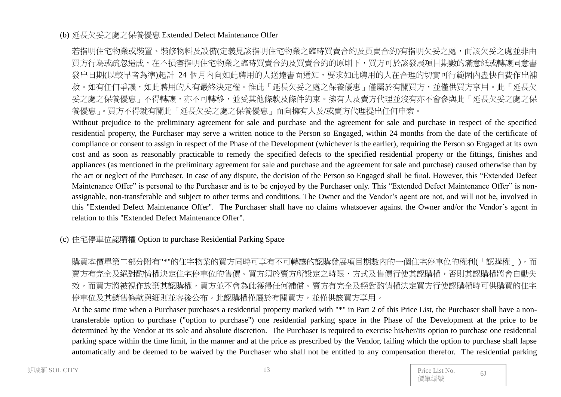#### (b) 延長欠妥之處之保養優惠 Extended Defect Maintenance Offer

若指明住宅物業或裝置、裝修物料及設備(定義見該指明住宅物業之臨時買賣合約及買賣合約)有指明欠妥之處,而該欠妥之處並非由 買方行為或疏忽造成,在不損害指明住宅物業之臨時買賣合約及買賣合約的原則下,買方可於該發展項目期數的滿意紙或轉讓同意書 發出日期(以較早者為準)起計 24 個月內向如此聘用的人送達書面通知,要求如此聘用的人在合理的切實可行範圍內盡快自費作出補 救。如有任何爭議,如此聘用的人有最終決定權。惟此「延長欠妥之處之保養優惠」僅屬於有關買方,並僅供買方享用。此「延長欠 妥之處之保養優惠」不得轉讓,亦不可轉移,並受其他條款及條件約束。擁有人及賣方代理並沒有亦不會參與此「延長欠妥之處之保 養優惠」。買方不得就有關此「延長欠妥之處之保養優惠」而向擁有人及/或賣方代理提出任何申索。

Without prejudice to the preliminary agreement for sale and purchase and the agreement for sale and purchase in respect of the specified residential property, the Purchaser may serve a written notice to the Person so Engaged, within 24 months from the date of the certificate of compliance or consent to assign in respect of the Phase of the Development (whichever is the earlier), requiring the Person so Engaged at its own cost and as soon as reasonably practicable to remedy the specified defects to the specified residential property or the fittings, finishes and appliances (as mentioned in the preliminary agreement for sale and purchase and the agreement for sale and purchase) caused otherwise than by the act or neglect of the Purchaser. In case of any dispute, the decision of the Person so Engaged shall be final. However, this "Extended Defect Maintenance Offer" is personal to the Purchaser and is to be enjoyed by the Purchaser only. This "Extended Defect Maintenance Offer" is nonassignable, non-transferable and subject to other terms and conditions. The Owner and the Vendor's agent are not, and will not be, involved in this "Extended Defect Maintenance Offer". The Purchaser shall have no claims whatsoever against the Owner and/or the Vendor's agent in relation to this "Extended Defect Maintenance Offer".

#### (c) 住宅停車位認購權 Option to purchase Residential Parking Space

購買本價單第二部分附有"\*"的住宅物業的買方同時可享有不可轉讓的認購發展項目期數內的一個住宅停車位的權利(「認購權」),而 賣方有完全及絕對酌情權決定住宅停車位的售價。買方須於賣方所設定之時限、方式及售價行使其認購權,否則其認購權將會自動失 效,而買方將被視作放棄其認購權,買方並不會為此獲得任何補償。賣方有完全及絕對酌情權決定買方行使認購權時可供購買的住宅 停車位及其銷售條款與細則並容後公布。此認購權僅屬於有關買方,並僅供該買方享用。

At the same time when a Purchaser purchases a residential property marked with "\*" in Part 2 of this Price List, the Purchaser shall have a nontransferable option to purchase ("option to purchase") one residential parking space in the Phase of the Development at the price to be determined by the Vendor at its sole and absolute discretion. The Purchaser is required to exercise his/her/its option to purchase one residential parking space within the time limit, in the manner and at the price as prescribed by the Vendor, failing which the option to purchase shall lapse automatically and be deemed to be waived by the Purchaser who shall not be entitled to any compensation therefor. The residential parking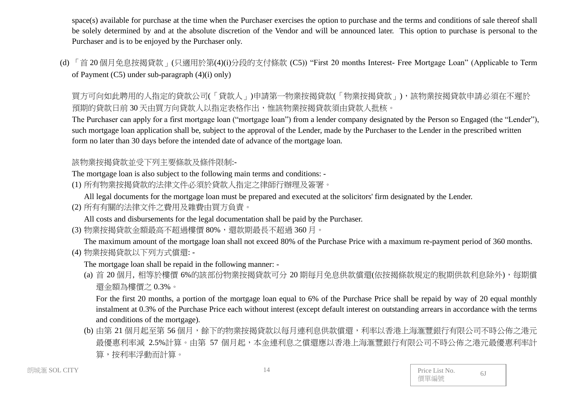space(s) available for purchase at the time when the Purchaser exercises the option to purchase and the terms and conditions of sale thereof shall be solely determined by and at the absolute discretion of the Vendor and will be announced later. This option to purchase is personal to the Purchaser and is to be enjoyed by the Purchaser only.

(d) 「首 20 個月免息按揭貸款」(只適用於第(4)(i)分段的支付條款 (C5)) "First 20 months Interest- Free Mortgage Loan" (Applicable to Term of Payment (C5) under sub-paragraph (4)(i) only)

買方可向如此聘用的人指定的貸款公司(「貸款人」)申請第一物業按揭貸款(「物業按揭貸款」),該物業按揭貸款申請必須在不遲於 預期的貸款日前 30 天由買方向貸款人以指定表格作出,惟該物業按揭貸款須由貸款人批核。

The Purchaser can apply for a first mortgage loan ("mortgage loan") from a lender company designated by the Person so Engaged (the "Lender"), such mortgage loan application shall be, subject to the approval of the Lender, made by the Purchaser to the Lender in the prescribed written form no later than 30 days before the intended date of advance of the mortgage loan.

該物業按揭貸款並受下列主要條款及條件限制:-

The mortgage loan is also subject to the following main terms and conditions: -

- (1) 所有物業按揭貸款的法律文件必須於貸款人指定之律師行辦理及簽署。
	- All legal documents for the mortgage loan must be prepared and executed at the solicitors' firm designated by the Lender.
- (2) 所有有關的法律文件之費用及雜費由買方負責。

All costs and disbursements for the legal documentation shall be paid by the Purchaser.

(3) 物業按揭貸款金額最高不超過樓價 80%,還款期最長不超過 360 月。

The maximum amount of the mortgage loan shall not exceed 80% of the Purchase Price with a maximum re-payment period of 360 months. (4) 物業按揭貸款以下列方式償還: -

The mortgage loan shall be repaid in the following manner: -

(a) 首 20 個月, 相等於樓價 6%的該部份物業按揭貸款可分 20 期每月免息供款償還(依按揭條款規定的脫期供款利息除外),每期償 還金額為樓價之 0.3%。

For the first 20 months, a portion of the mortgage loan equal to 6% of the Purchase Price shall be repaid by way of 20 equal monthly instalment at 0.3% of the Purchase Price each without interest (except default interest on outstanding arrears in accordance with the terms and conditions of the mortgage).

(b) 由第 21 個月起至第 56 個月,餘下的物業按揭貸款以每月連利息供款償還,利率以香港上海滙豐銀行有限公司不時公佈之港元 最優惠利率減 2.5%計算。由第 57 個月起,本金連利息之償還應以香港上海滙豐銀行有限公司不時公佈之港元最優惠利率計 算,按利率浮動而計算。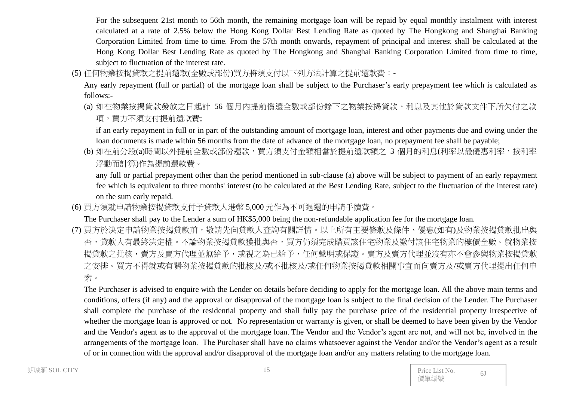For the subsequent 21st month to 56th month, the remaining mortgage loan will be repaid by equal monthly instalment with interest calculated at a rate of 2.5% below the Hong Kong Dollar Best Lending Rate as quoted by The Hongkong and Shanghai Banking Corporation Limited from time to time. From the 57th month onwards, repayment of principal and interest shall be calculated at the Hong Kong Dollar Best Lending Rate as quoted by The Hongkong and Shanghai Banking Corporation Limited from time to time, subject to fluctuation of the interest rate.

(5) 任何物業按揭貸款之提前還款(全數或部份)買方將須支付以下列方法計算之提前還款費:-

Any early repayment (full or partial) of the mortgage loan shall be subject to the Purchaser's early prepayment fee which is calculated as follows:-

(a) 如在物業按揭貸款發放之日起計 56 個月內提前償還全數或部份餘下之物業按揭貸款、利息及其他於貸款文件下所欠付之款 項,買方不須支付提前還款費;

if an early repayment in full or in part of the outstanding amount of mortgage loan, interest and other payments due and owing under the loan documents is made within 56 months from the date of advance of the mortgage loan, no prepayment fee shall be payable;

(b) 如在前分段(a)時間以外提前全數或部份還款,買方須支付金額相當於提前還款額之 3 個月的利息(利率以最優惠利率,按利率 浮動而計算)作為提前還款費。

any full or partial prepayment other than the period mentioned in sub-clause (a) above will be subject to payment of an early repayment fee which is equivalent to three months' interest (to be calculated at the Best Lending Rate, subject to the fluctuation of the interest rate) on the sum early repaid.

(6) 買方須就申請物業按揭貸款支付予貸款人港幣 5,000 元作為不可退還的申請手續費。

The Purchaser shall pay to the Lender a sum of HK\$5,000 being the non-refundable application fee for the mortgage loan.

(7) 買方於決定申請物業按揭貸款前,敬請先向貸款人查詢有關詳情。以上所有主要條款及條件、優惠(如有)及物業按揭貸款批出與 否,貸款人有最終決定權。不論物業按揭貸款獲批與否,買方仍須完成購買該住宅物業及繳付該住宅物業的樓價全數。就物業按 揭貸款之批核,賣方及賣方代理並無給予,或視之為已給予,任何聲明或保證。賣方及賣方代理並沒有亦不會參與物業按揭貸款 之安排。買方不得就或有關物業按揭貸款的批核及/或不批核及/或任何物業按揭貸款相關事宜而向賣方及/或賣方代理提出任何申 索。

The Purchaser is advised to enquire with the Lender on details before deciding to apply for the mortgage loan. All the above main terms and conditions, offers (if any) and the approval or disapproval of the mortgage loan is subject to the final decision of the Lender. The Purchaser shall complete the purchase of the residential property and shall fully pay the purchase price of the residential property irrespective of whether the mortgage loan is approved or not. No representation or warranty is given, or shall be deemed to have been given by the Vendor and the Vendor's agent as to the approval of the mortgage loan. The Vendor and the Vendor's agent are not, and will not be, involved in the arrangements of the mortgage loan. The Purchaser shall have no claims whatsoever against the Vendor and/or the Vendor's agent as a result of or in connection with the approval and/or disapproval of the mortgage loan and/or any matters relating to the mortgage loan.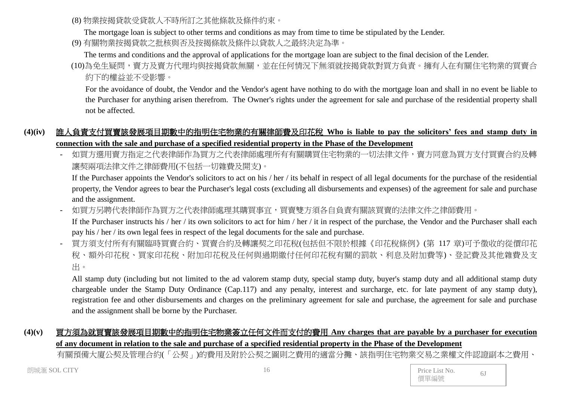(8) 物業按揭貸款受貸款人不時所訂之其他條款及條件約束。

The mortgage loan is subject to other terms and conditions as may from time to time be stipulated by the Lender.

(9) 有關物業按揭貸款之批核與否及按揭條款及條件以貸款人之最終決定為準。

The terms and conditions and the approval of applications for the mortgage loan are subject to the final decision of the Lender.

(10)為免生疑問,賣方及賣方代理均與按揭貸款無關,並在任何情況下無須就按揭貸款對買方負責。擁有人在有關住宅物業的買賣合 約下的權益並不受影響。

For the avoidance of doubt, the Vendor and the Vendor's agent have nothing to do with the mortgage loan and shall in no event be liable to the Purchaser for anything arisen therefrom. The Owner's rights under the agreement for sale and purchase of the residential property shall not be affected.

# **(4)(iv)** 誰人負責支付買賣該發展項目期數中的指明住宅物業的有關律師費及印花稅 **Who is liable to pay the solicitors' fees and stamp duty in connection with the sale and purchase of a specified residential property in the Phase of the Development**

如買方選用賣方指定之代表律師處理所有有關購買住宅物業的一切法律文件,賣方同意為買方支付買賣合約及轉 讓契兩項法律文件之律師費用(不包括一切雜費及開支)。

If the Purchaser appoints the Vendor's solicitors to act on his / her / its behalf in respect of all legal documents for the purchase of the residential property, the Vendor agrees to bear the Purchaser's legal costs (excluding all disbursements and expenses) of the agreement for sale and purchase and the assignment.

- 如買方另聘代表律師作為買方之代表律師處理其購買事宜,買賣雙方須各自負責有關該買賣的法律文件之律師費用。

If the Purchaser instructs his / her / its own solicitors to act for him / her / it in respect of the purchase, the Vendor and the Purchaser shall each pay his / her / its own legal fees in respect of the legal documents for the sale and purchase.

- 買方須支付所有有關臨時買賣合約、買賣合約及轉讓契之印花稅(包括但不限於根據《印花稅條例》(第 117 章)可予徵收的從價印花 稅、額外印花稅、買家印花稅、附加印花稅及任何與過期繳付任何印花稅有關的罰款、利息及附加費等)、登記費及其他雜費及支 出。

All stamp duty (including but not limited to the ad valorem stamp duty, special stamp duty, buyer's stamp duty and all additional stamp duty chargeable under the Stamp Duty Ordinance (Cap.117) and any penalty, interest and surcharge, etc. for late payment of any stamp duty), registration fee and other disbursements and charges on the preliminary agreement for sale and purchase, the agreement for sale and purchase and the assignment shall be borne by the Purchaser.

## **(4)(v)** 買方須為就買賣該發展項目期數中的指明住宅物業簽立任何文件而支付的費用 **Any charges that are payable by a purchaser for execution of any document in relation to the sale and purchase of a specified residential property in the Phase of the Development**

有關預備大廈公契及管理合約(「公契」)的費用及附於公契之圖則之費用的適當分攤、該指明住宅物業交易之業權文件認證副本之費用、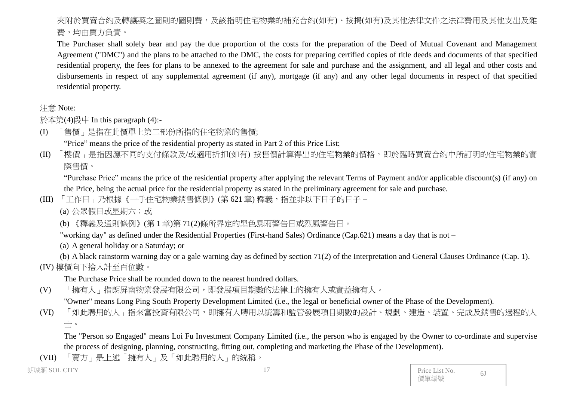# 夾附於買賣合約及轉讓契之圖則的圖則費,及該指明住宅物業的補充合約(如有)、按揭(如有)及其他法律文件之法律費用及其他支出及雜 費,均由買方負責。

The Purchaser shall solely bear and pay the due proportion of the costs for the preparation of the Deed of Mutual Covenant and Management Agreement ("DMC") and the plans to be attached to the DMC, the costs for preparing certified copies of title deeds and documents of that specified residential property, the fees for plans to be annexed to the agreement for sale and purchase and the assignment, and all legal and other costs and disbursements in respect of any supplemental agreement (if any), mortgage (if any) and any other legal documents in respect of that specified residential property.

#### 注意 Note:

於本第(4)段中 In this paragraph (4):-

(I) 「售價」是指在此價單上第二部份所指的住宅物業的售價;

"Price" means the price of the residential property as stated in Part 2 of this Price List;

(II) 「樓價」是指因應不同的支付條款及/或適用折扣(如有) 按售價計算得出的住宅物業的價格,即於臨時買賣合約中所訂明的住宅物業的實 際售價。

"Purchase Price" means the price of the residential property after applying the relevant Terms of Payment and/or applicable discount(s) (if any) on the Price, being the actual price for the residential property as stated in the preliminary agreement for sale and purchase.

- (III) 「工作日」乃根據《一手住宅物業銷售條例》(第621章) 釋義, 指並非以下日子的日子
	- (a) 公眾假日或星期六;或

(b) 《釋義及通則條例》(第 1 章)第 71(2)條所界定的黑色暴雨警告日或烈風警告日。

"working day" as defined under the Residential Properties (First-hand Sales) Ordinance (Cap.621) means a day that is not –

(a) A general holiday or a Saturday; or

(b) A black rainstorm warning day or a gale warning day as defined by section 71(2) of the Interpretation and General Clauses Ordinance (Cap. 1). (IV) 樓價向下捨入計至百位數。

The Purchase Price shall be rounded down to the nearest hundred dollars.

(V) 「擁有人」指朗屏南物業發展有限公司,即發展項目期數的法律上的擁有人或實益擁有人。

"Owner" means Long Ping South Property Development Limited (i.e., the legal or beneficial owner of the Phase of the Development).

(VI) 「如此聘用的人」指來富投資有限公司,即擁有人聘用以統籌和監管發展項目期數的設計、規劃、建造、裝置、完成及銷售的過程的人 士。

The "Person so Engaged" means Loi Fu Investment Company Limited (i.e., the person who is engaged by the Owner to co-ordinate and supervise the process of designing, planning, constructing, fitting out, completing and marketing the Phase of the Development).

(VII) 「賣方」是上述「擁有人」及「如此聘用的人」的統稱。